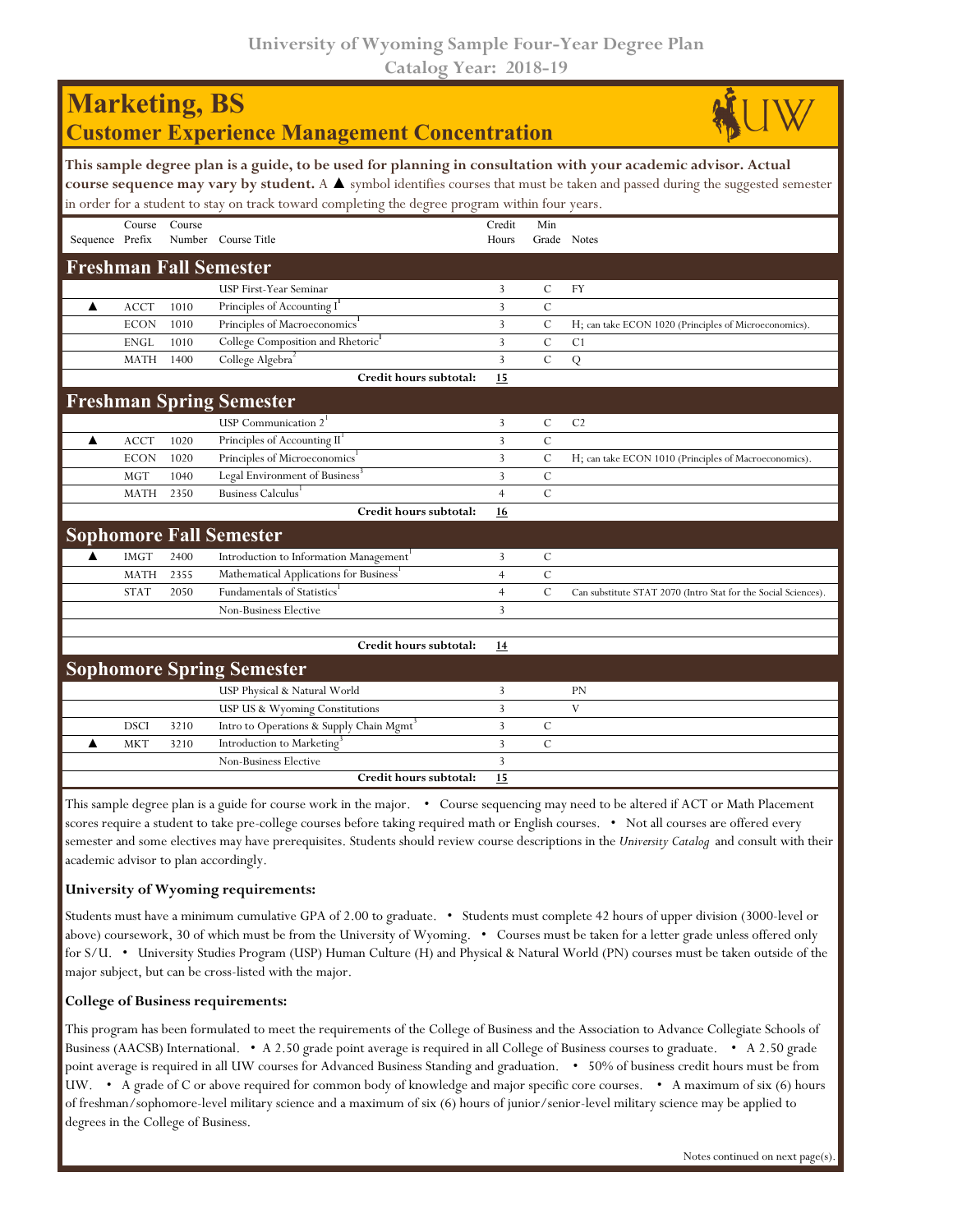| <b>Marketing, BS</b><br><b>Customer Experience Management Concentration</b>                                                                                                                                                                                                                                                                                        |             |        |                                                      |                 |                    |                                                                |  |  |  |  |  |
|--------------------------------------------------------------------------------------------------------------------------------------------------------------------------------------------------------------------------------------------------------------------------------------------------------------------------------------------------------------------|-------------|--------|------------------------------------------------------|-----------------|--------------------|----------------------------------------------------------------|--|--|--|--|--|
| This sample degree plan is a guide, to be used for planning in consultation with your academic advisor. Actual<br>course sequence may vary by student. A $\blacktriangle$ symbol identifies courses that must be taken and passed during the suggested semester<br>in order for a student to stay on track toward completing the degree program within four years. |             |        |                                                      |                 |                    |                                                                |  |  |  |  |  |
| Sequence Prefix                                                                                                                                                                                                                                                                                                                                                    | Course      | Course | Number Course Title                                  | Credit<br>Hours | Min<br>Grade Notes |                                                                |  |  |  |  |  |
|                                                                                                                                                                                                                                                                                                                                                                    |             |        | <b>Freshman Fall Semester</b>                        |                 |                    |                                                                |  |  |  |  |  |
|                                                                                                                                                                                                                                                                                                                                                                    |             |        | USP First-Year Seminar                               | 3               | $\mathcal{C}$      | <b>FY</b>                                                      |  |  |  |  |  |
| ▲                                                                                                                                                                                                                                                                                                                                                                  | <b>ACCT</b> | 1010   | Principles of Accounting I                           | $\overline{3}$  | $\mathcal{C}$      |                                                                |  |  |  |  |  |
|                                                                                                                                                                                                                                                                                                                                                                    | <b>ECON</b> | 1010   | Principles of Macroeconomics <sup>1</sup>            | $\overline{3}$  | $\mathcal{C}$      | H; can take ECON 1020 (Principles of Microeconomics).          |  |  |  |  |  |
|                                                                                                                                                                                                                                                                                                                                                                    | <b>ENGL</b> | 1010   | College Composition and Rhetoric <sup>1</sup>        | 3               | $\mathcal{C}$      | C <sub>1</sub>                                                 |  |  |  |  |  |
|                                                                                                                                                                                                                                                                                                                                                                    | <b>MATH</b> | 1400   | College Algebra <sup>2</sup>                         | $\overline{3}$  | $\mathcal{C}$      | $\overline{Q}$                                                 |  |  |  |  |  |
|                                                                                                                                                                                                                                                                                                                                                                    |             |        | Credit hours subtotal:                               | 15              |                    |                                                                |  |  |  |  |  |
|                                                                                                                                                                                                                                                                                                                                                                    |             |        | <b>Freshman Spring Semester</b>                      |                 |                    |                                                                |  |  |  |  |  |
|                                                                                                                                                                                                                                                                                                                                                                    |             |        | USP Communication $21$                               | 3               | $\mathcal{C}$      | C <sub>2</sub>                                                 |  |  |  |  |  |
| ▲                                                                                                                                                                                                                                                                                                                                                                  | <b>ACCT</b> | 1020   | Principles of Accounting II <sup>1</sup>             | 3               | $\mathsf{C}$       |                                                                |  |  |  |  |  |
|                                                                                                                                                                                                                                                                                                                                                                    | <b>ECON</b> | 1020   | Principles of Microeconomics <sup>1</sup>            | 3               | $\mathcal{C}$      | H; can take ECON 1010 (Principles of Macroeconomics).          |  |  |  |  |  |
|                                                                                                                                                                                                                                                                                                                                                                    | <b>MGT</b>  | 1040   | Legal Environment of Business <sup>3</sup>           | $\overline{3}$  | $\mathsf{C}$       |                                                                |  |  |  |  |  |
|                                                                                                                                                                                                                                                                                                                                                                    | MATH        | 2350   | Business Calculus                                    | $\overline{4}$  | $\mathcal{C}$      |                                                                |  |  |  |  |  |
|                                                                                                                                                                                                                                                                                                                                                                    |             |        | Credit hours subtotal:                               | 16              |                    |                                                                |  |  |  |  |  |
|                                                                                                                                                                                                                                                                                                                                                                    |             |        | <b>Sophomore Fall Semester</b>                       |                 |                    |                                                                |  |  |  |  |  |
| ▲                                                                                                                                                                                                                                                                                                                                                                  | <b>IMGT</b> | 2400   | Introduction to Information Management <sup>'</sup>  | 3               | $\mathcal{C}$      |                                                                |  |  |  |  |  |
|                                                                                                                                                                                                                                                                                                                                                                    | <b>MATH</b> | 2355   | Mathematical Applications for Business'              | $\overline{4}$  | $\mathsf{C}$       |                                                                |  |  |  |  |  |
|                                                                                                                                                                                                                                                                                                                                                                    | <b>STAT</b> | 2050   | Fundamentals of Statistics <sup>1</sup>              | $\overline{4}$  | $\mathcal{C}$      | Can substitute STAT 2070 (Intro Stat for the Social Sciences). |  |  |  |  |  |
|                                                                                                                                                                                                                                                                                                                                                                    |             |        | Non-Business Elective                                | $\overline{3}$  |                    |                                                                |  |  |  |  |  |
|                                                                                                                                                                                                                                                                                                                                                                    |             |        |                                                      |                 |                    |                                                                |  |  |  |  |  |
|                                                                                                                                                                                                                                                                                                                                                                    |             |        | Credit hours subtotal:                               | 14              |                    |                                                                |  |  |  |  |  |
|                                                                                                                                                                                                                                                                                                                                                                    |             |        | <b>Sophomore Spring Semester</b>                     |                 |                    |                                                                |  |  |  |  |  |
|                                                                                                                                                                                                                                                                                                                                                                    |             |        | USP Physical & Natural World                         | 3               |                    | <b>PN</b>                                                      |  |  |  |  |  |
|                                                                                                                                                                                                                                                                                                                                                                    |             |        | USP US & Wyoming Constitutions                       | 3               |                    | V                                                              |  |  |  |  |  |
|                                                                                                                                                                                                                                                                                                                                                                    | <b>DSCI</b> | 3210   | Intro to Operations & Supply Chain Mgmt <sup>3</sup> | 3               | C                  |                                                                |  |  |  |  |  |
|                                                                                                                                                                                                                                                                                                                                                                    | <b>MKT</b>  | 3210   | Introduction to Marketing                            | 3               | $\mathsf{C}$       |                                                                |  |  |  |  |  |
|                                                                                                                                                                                                                                                                                                                                                                    |             |        | Non-Business Elective                                | $\overline{3}$  |                    |                                                                |  |  |  |  |  |
|                                                                                                                                                                                                                                                                                                                                                                    |             |        | Credit hours subtotal:                               | 15              |                    |                                                                |  |  |  |  |  |

This sample degree plan is a guide for course work in the major. • Course sequencing may need to be altered if ACT or Math Placement scores require a student to take pre-college courses before taking required math or English courses. • Not all courses are offered every semester and some electives may have prerequisites. Students should review course descriptions in the *University Catalog* and consult with their academic advisor to plan accordingly.

## **University of Wyoming requirements:**

Students must have a minimum cumulative GPA of 2.00 to graduate. • Students must complete 42 hours of upper division (3000-level or above) coursework, 30 of which must be from the University of Wyoming. • Courses must be taken for a letter grade unless offered only for S/U. • University Studies Program (USP) Human Culture (H) and Physical & Natural World (PN) courses must be taken outside of the major subject, but can be cross-listed with the major.

## **College of Business requirements:**

This program has been formulated to meet the requirements of the College of Business and the Association to Advance Collegiate Schools of Business (AACSB) International. • A 2.50 grade point average is required in all College of Business courses to graduate. • A 2.50 grade point average is required in all UW courses for Advanced Business Standing and graduation. • 50% of business credit hours must be from UW. • A grade of C or above required for common body of knowledge and major specific core courses. • A maximum of six (6) hours of freshman/sophomore-level military science and a maximum of six (6) hours of junior/senior-level military science may be applied to degrees in the College of Business.